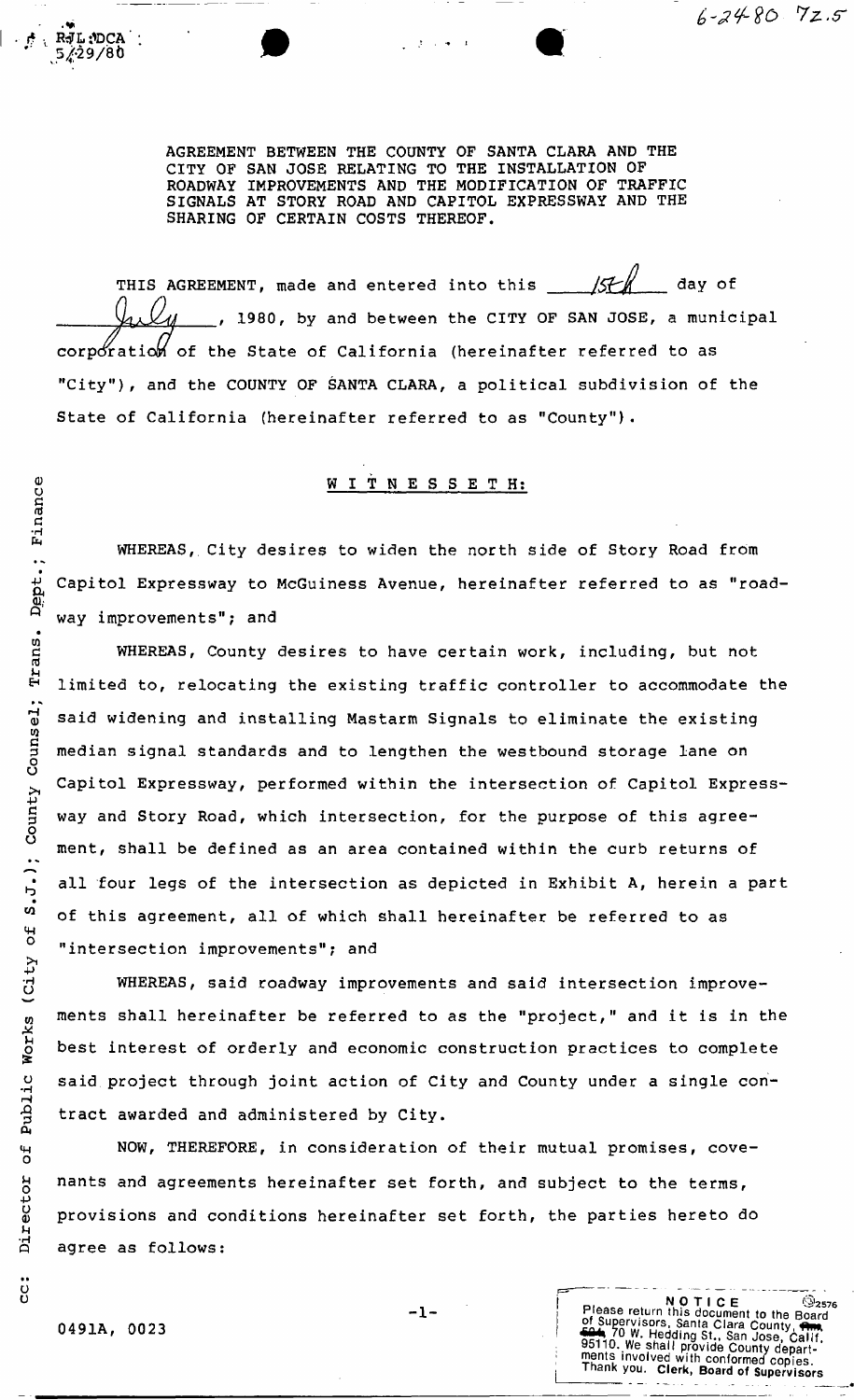AGREEMENT BETWEEN THE COUNTY OF SANTA CLARA AND THE CITY OF SAN JOSE RELATING TO THE INSTALLATION OF ROADWAY IMPROVEMENTS AND THE MODIFICATION OF TRAFFIC SIGNALS AT STORY ROAD AND CAPITOL EXPRESSWAY AND THE SHARING OF CERTAIN COSTS THEREOF.

 $6 - 24 - 80$  72.5

corporation of the State of California (hereinafter referred to as "City"), and the COUNTY OF SANTA CLARA, a political subdivision of the State of California (hereinafter referred to as "County")- THIS AGREEMENT, made and entered into this  $\frac{1}{5}$  / $\frac{1}{4}$  day of 1980, by and between the CITY OF SAN JOSE, a municipal

## W I T N E S S E T H:

WHEREAS, City desires to widen the north side of Story Road from Capitol Expressway to McGuiness Avenue, hereinafter referred to as "roadway improvements"; and

WHEREAS, County desires to have certain work, including, but not limited to, relocating the existing traffic controller to accommodate the said widening and installing Mastarm Signals to eliminate the existing median signal standards and to lengthen the westbound storage lane on Capitol Expressway, performed within the intersection of Capitol Expressway and Story Road, which intersection, for the purpose of this agreement, shall be defined as an area contained within the curb returns of all four legs of the intersection as depicted in Exhibit A, herein a part of this agreement, all of which shall hereinafter be referred to as "intersection improvements"; and

WHEREAS, said roadway improvements and said intersection improvements shall hereinafter be referred to as the "project," and it is in the best interest of orderly and economic construction practices to complete said project through joint action of City and County under a single contract awarded and administered by City.

NOW, THEREFORE, in consideration of their mutual promises, covenants and agreements hereinafter set forth, and subject to the terms, provisions and conditions hereinafter set forth, the parties hereto do agree as follows:

Public Works (City of S.J.); County Counsel; Trans. Dept.; Finance

 $\sigma$ £

Director

:<br>ပ

**R**JL :DCA **5^29/86** 

**- 1-**

NOTICE<br>
NOTICE<br>
of Supervisors, Santa Clara County, Carl 20<br>
of Supervisors, Santa Clara County, Carl 35110. We shall provide County departments<br>
involved with conformed copies.<br>
Thank you. Clerk, Board of Supervisors

 $@{}_{2576}$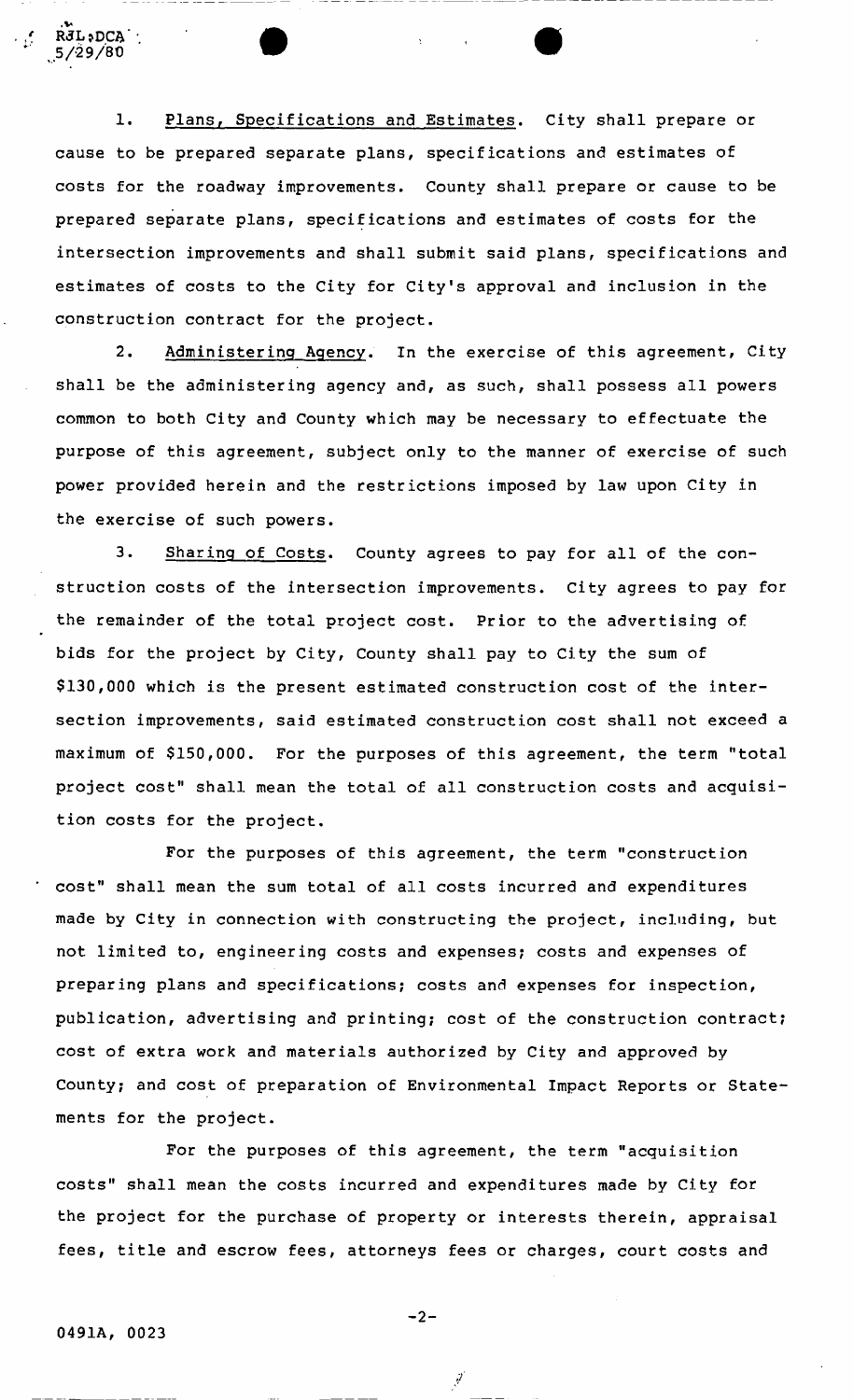1. Plans, Specifications and Estimates. City shall prepare or cause to be prepared separate plans, specifications and estimates of costs for the roadway improvements. County shall prepare or cause to be prepared separate plans, specifications and estimates of costs for the intersection improvements and shall submit said plans, specifications and estimates of costs to the City for City's approval and inclusion in the construction contract for the project.

2. Administering Agency. In the exercise of this agreement, City shall be the administering agency and, as such, shall possess all powers common to both City and County which may be necessary to effectuate the purpose of this agreement, subject only to the manner of exercise of such power provided herein and the restrictions imposed by law upon City in the exercise of such powers.

3. Sharing of Costs. County agrees to pay for all of the construction costs of the intersection improvements. City agrees to pay for the remainder of the total project cost. Prior to the advertising of bids for the project by City, County shall pay to City the sum of \$130,000 which is the present estimated construction cost of the intersection improvements, said estimated construction cost shall not exceed a maximum of \$150,000. For the purposes of this agreement, the term "total project cost" shall mean the total of all construction costs and acquisition costs for the project.

For the purposes of this agreement, the term "construction cost" shall mean the sum total of all costs incurred and expenditures made by City in connection with constructing the project, including, but not limited to, engineering costs and expenses; costs and expenses of preparing plans and specifications; costs and expenses for inspection, publication, advertising and printing; cost of the construction contract; cost of extra work and materials authorized by City and approved by County; and cost of preparation of Environmental Impact Reports or Statements for the project.

For the purposes of this agreement, the term "acquisition costs" shall mean the costs incurred and expenditures made by City for the project for the purchase of property or interests therein, appraisal fees, title and escrow fees, attorneys fees or charges, court costs and

RJL;DCA 5/29/80

**- 2-**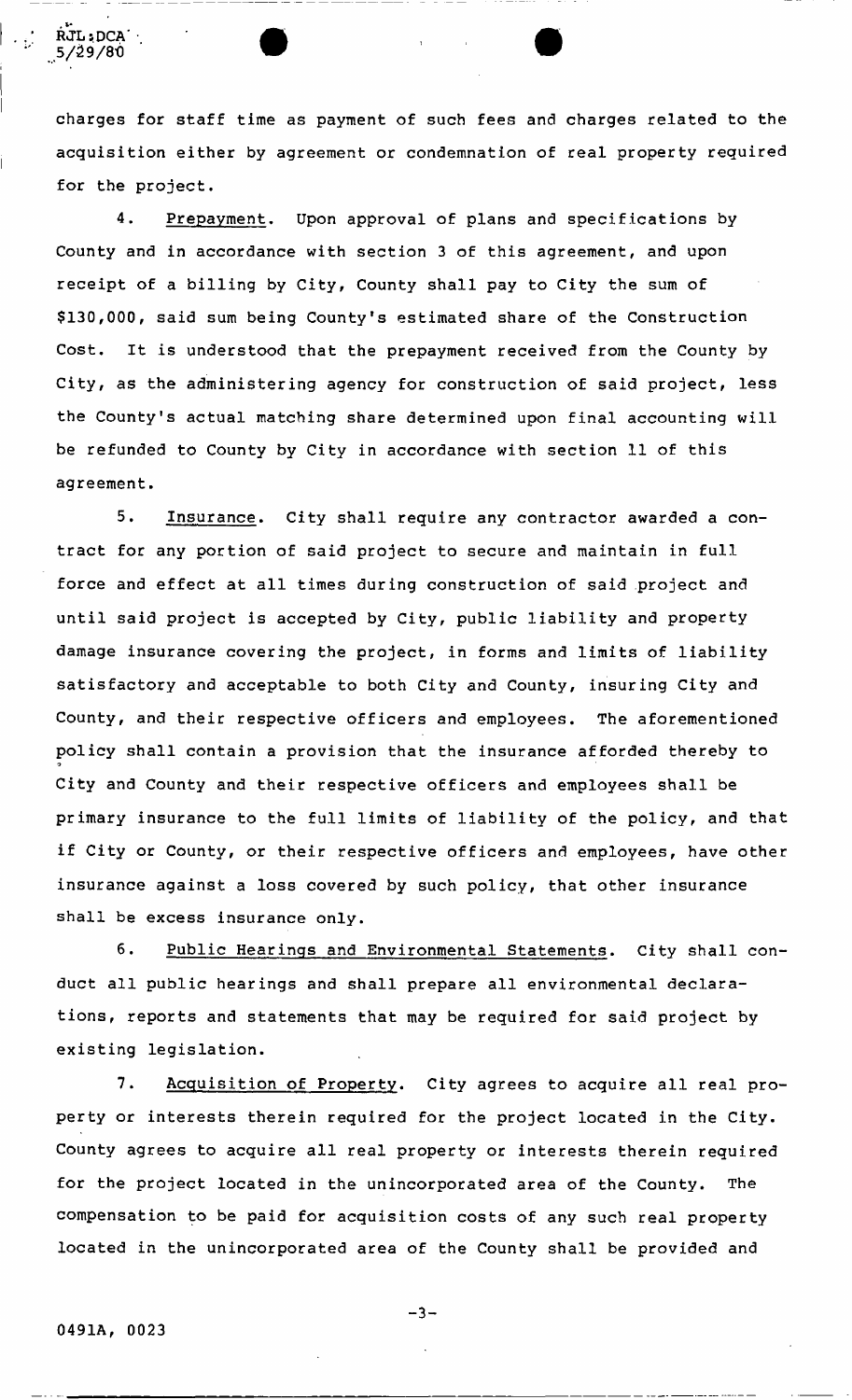charges for staff time as payment of such fees and charges related to the acquisition either by agreement or condemnation of real property required for the project.

 $\bullet$   $\bullet$   $\bullet$ 

4. Prepayment. Upon approval of plans and specifications by County and in accordance with section 3 of this agreement, and upon receipt of a billing by City, County shall pay to City the sum of \$130,000, said sum being County's estimated share of the Construction Cost. It is understood that the prepayment received from the County by City, as the administering agency for construction of said project, less the County's actual matching share determined upon final accounting will be refunded to County by City in accordance with section 11 of this agreement.

5. Insurance. City shall require any contractor awarded a contract for any portion of said project to secure and maintain in full force and effect at all times during construction of said project and until said project is accepted by City, public liability and property damage insurance covering the project, in forms and limits of liability satisfactory and acceptable to both City and County, insuring City and County, and their respective officers and employees. The aforementioned policy shall contain a provision that the insurance afforded thereby to City and County and their respective officers and employees shall be primary insurance to the full limits of liability of the policy, and that if City or County, or their respective officers and employees, have other insurance against a loss covered by such policy, that other insurance shall be excess insurance only.

6. Public Hearings and Environmental Statements. City shall conduct all public hearings and shall prepare all environmental declarations, reports and statements that may be required for said project by  $\mathsf{n.}$ 

7. Acquisition of Property. City agrees to acquire all real property or interests therein required for the project located in the City. County agrees to acquire all real property or interests therein required for the project located in the unincorporated area of the County. The compensation to be paid for acquisition costs of any such real property located in the unincorporated area of the County shall be provided and

RJLiDCA' 5/39/80

**- 3-**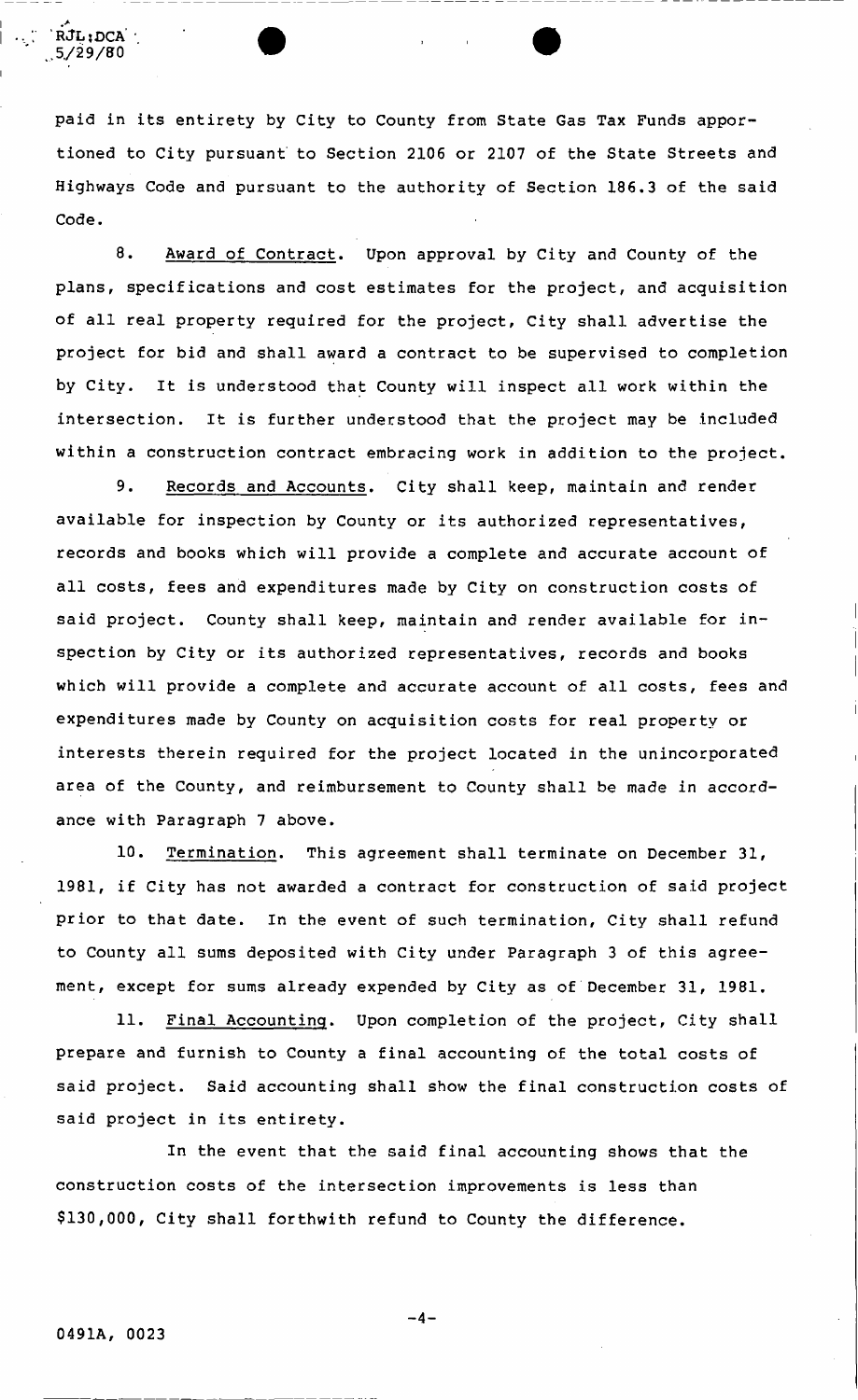paid in its entirety by City to County from State Gas Tax Funds apportioned to City pursuant to Section 2106 or 2107 of the State Streets and Highways Code and pursuant to the authority of Section 186.3 of the said Code.

8. Award of Contract. Upon approval by City and County of the plans, specifications and cost estimates for the project, and acquisition of all real property required for the project, City shall advertise the project for bid and shall award a contract to be supervised to completion by City. It is understood that County will inspect all work within the intersection. It is further understood that the project may be included within a construction contract embracing work in addition to the project.

9. Records and Accounts. City shall keep, maintain and render available for inspection by County or its authorized representatives, records and books which will provide a complete and accurate account of all costs, fees and expenditures made by City on construction costs of said project. County shall keep, maintain and render available for inspection by City or its authorized representatives, records and books which will provide a complete and accurate account of all costs, fees and expenditures made by County on acquisition costs for real property or interests therein required for the project located in the unincorporated area of the County, and reimbursement to County shall be made in accordance with Paragraph 7 above.

10. Termination. This agreement shall terminate on December 31, 1981, if City has not awarded a contract for construction of said project prior to that date. In the event of such termination, City shall refund to County all sums deposited with City under Paragraph 3 of this agreement, except for sums already expended by City as of December 31, 1981.

11. Final Accounting. Upon completion of the project, City shall prepare and furnish to County a final accounting of the total costs of said project. Said accounting shall show the final construction costs of said project in its entirety.

In the event that the said final accounting shows that the construction costs of the intersection improvements is less than \$130,000, City shall forthwith refund to County the difference.

'RJL; DCA ,5/29/80

**- 4-**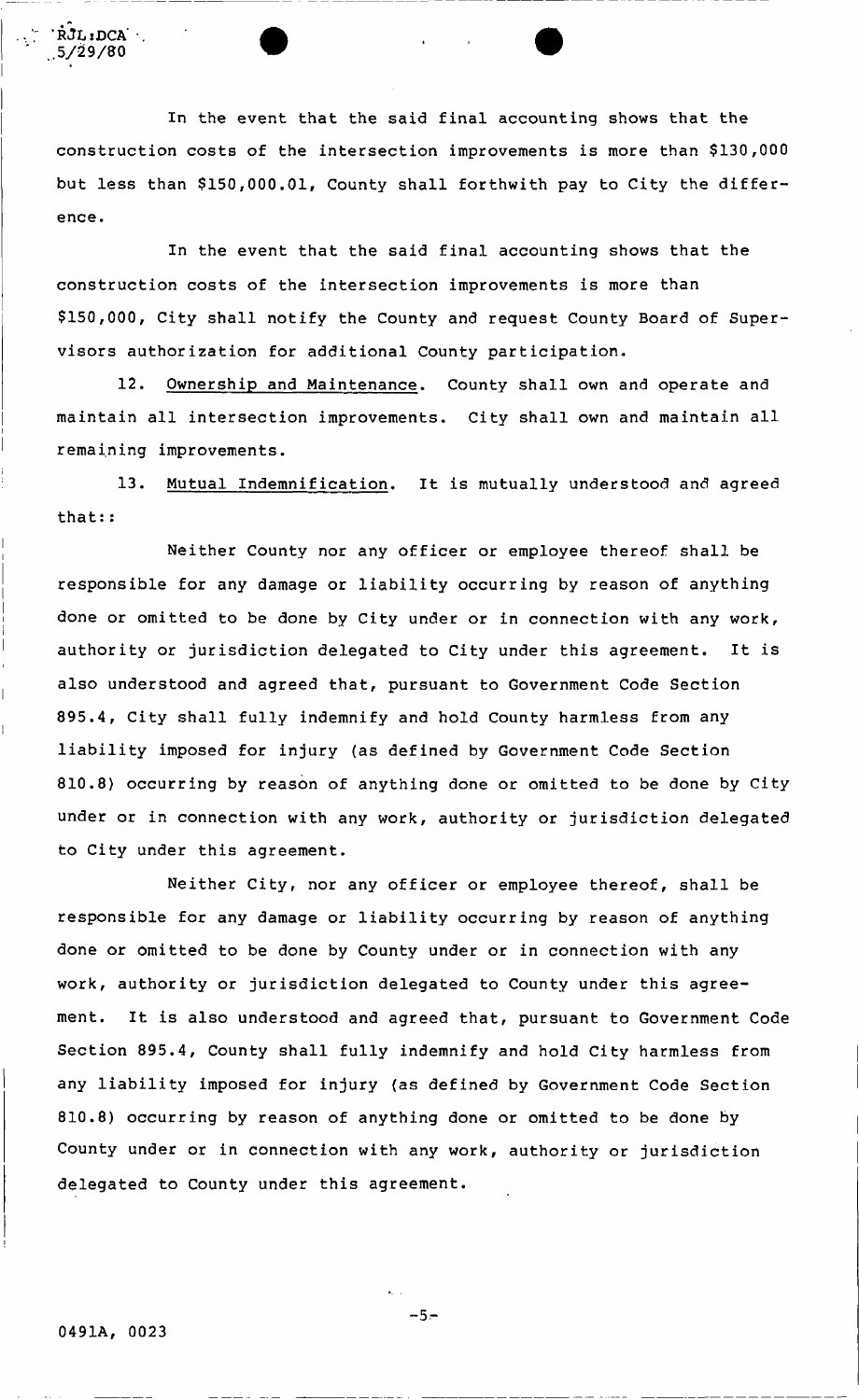In the event that the said final accounting shows that the construction costs of the intersection improvements is more than \$130,000 but less than \$150,000.01, County shall forthwith pay to City the difference.

construction costs of the intersection improvements is more than \$150,000, City shall notify the County and request County Board of Supervisors authorization for additional County participation, In the event that the said final accounting shows that the

12. Ownership and Maintenance. County shall own and operate and maintain all intersection improvements. City shall own and maintain all remaining improvements.

13. Mutual Indemnification. It is mutually understood and agreed that::

responsible for any damage or liability occurring by reason of anything done or omitted to be done by City under or in connection with any work, authority or jurisdiction delegated to City under this agreement. It is also understood and agreed that, pursuant to Government Code Section 895.4, City shall fully indemnify and hold County harmless from any liability imposed for injury (as defined by Government Code Section 810.8) occurring by reason of anything done or omitted to be done by City under or in connection with any work, authority or jurisdiction delegated to City under this agreement. Neither County nor any officer or employee thereof shall be

responsible for any damage or liability occurring by reason of anything done or omitted to be done by County under or in connection with any work, authority or jurisdiction delegated to County under this agreement. It is also understood and agreed that, pursuant to Government Code Section 895.4, County shall fully indemnify and hold City harmless from any liability imposed for injury (as defined by Government Code Section 810.8) occurring by reason of anything done or omitted to be done by County under or in connection with any work, authority or jurisdiction delegated to County under this agreement. Neither City, nor any officer or employee thereof, shall be

 $\dot{RJL}$ **;** DCA  $\cdot$ , 5/29/80

**- 5-**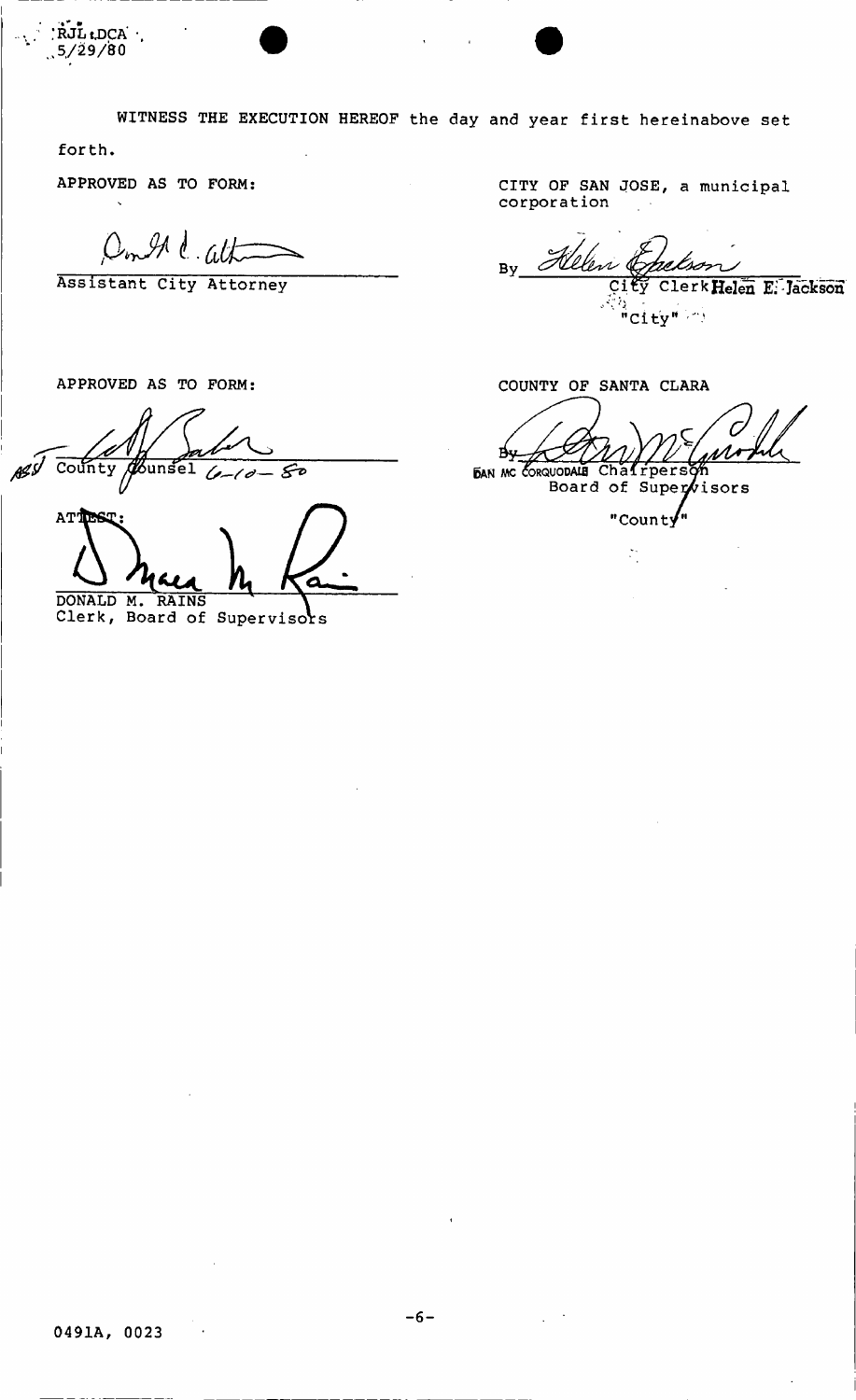WITNESS THE EXECUTION HEREOF the day and year first hereinabove set

forth.

RJL LDCA  $5/29/80$ 

APPROVED AS TO FORM:

Don In C. alt

Assistant City Attorney

APPROVED AS TO FORM:

County  $5$ unsel ASI Fо

ATT DONALD M. RAINS

Clerk, Board of Supervisors

CITY OF SAN JOSE, a municipal corporation

Bv lerk Helen E. Jackson  $^{\frac{1}{2}}$ "City" $^{\frac{1}{2}+\frac{1}{2}}$ 

COUNTY OF SANTA CLARA

 $\overline{C}$ вy **BAN MC CORQUODALE** 

NODALE Chafrperson<br>Board of Supervisors

"Count $\sqrt{n}$ 

 $\widetilde{\mathbb{Z}}_2^*$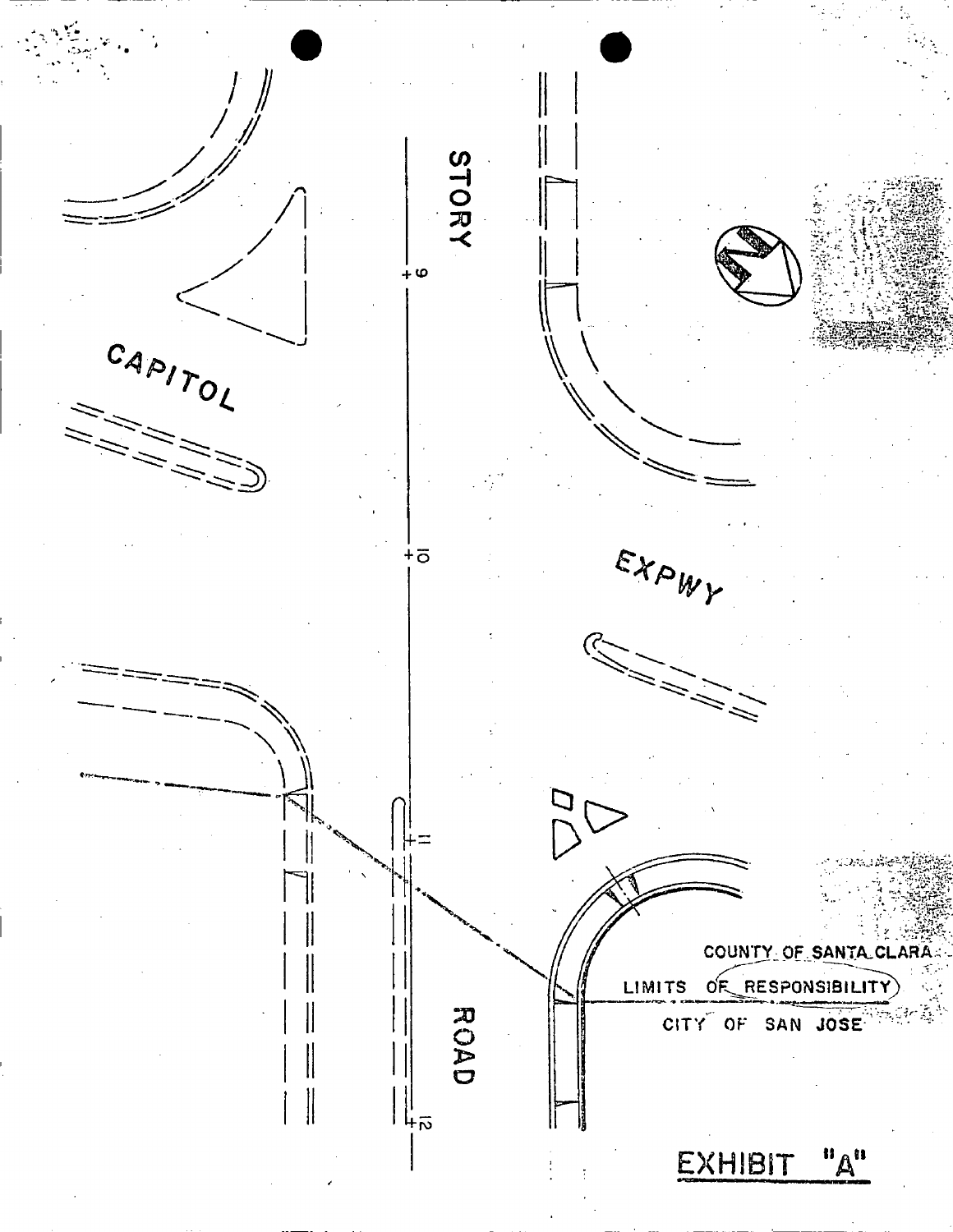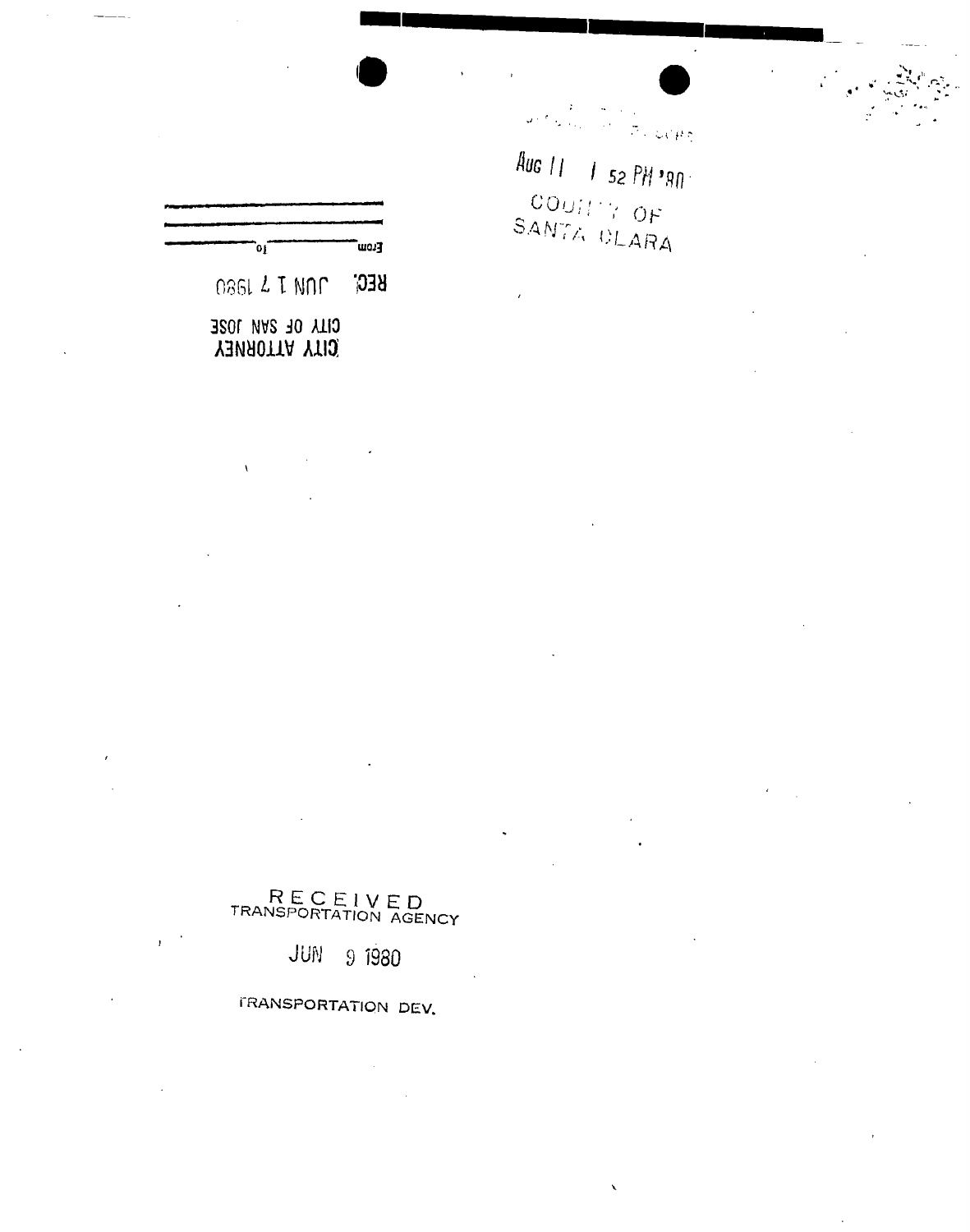[נסש<sup>"</sup> οŗ

0861 2 T NOC **REG** 

RECEIVED<br>TRANSPORTATION AGENCY

FRANSPORTATION DEV.

JUN

9 1980

CITY OF SAN JOSE **YAMADITA YTIQ** 

 $\lambda$ 

 $\left\langle \rho_{\rm{eff}}\right\rangle_{\rm{2.3\%}}^{2}=\left\langle \rho_{\rm{eff}}\right\rangle_{\rm{2.3\%}}^{2}$ 

Aug 11  $1^{52}$  PH '80. COUTTY OF SANTA DLARA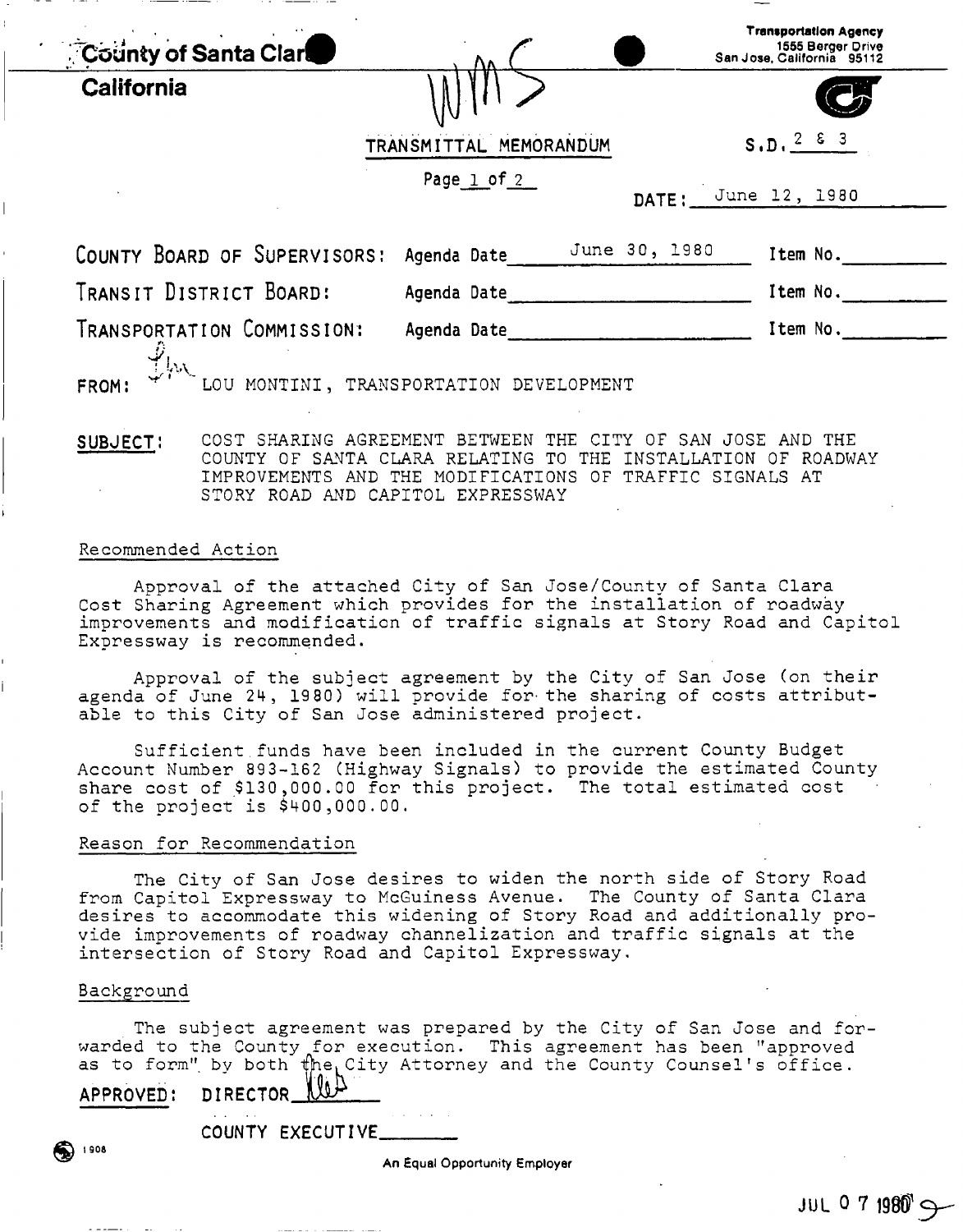| <b>County of Santa Clare</b> |                        |                     | <b>Transportation Agency</b><br>1555 Berger Drive<br>San Jose, California 95112 |
|------------------------------|------------------------|---------------------|---------------------------------------------------------------------------------|
| <b>California</b>            |                        |                     |                                                                                 |
|                              | TRANSMITTAL MEMORANDUM |                     | S.D. 2 6 3                                                                      |
|                              | Page $1$ of $2$        | DATE: June 12, 1980 |                                                                                 |
| COUNTY BOARD OF SUPERVISORS: | Agenda Date            | June 30, 1980       | Item No.                                                                        |
| TRANSIT DISTRICT BOARD:      | Agenda Date            |                     | Item No.                                                                        |
|                              |                        |                     | Item No.                                                                        |

#### SUBJECT: COST SHARING AGREEMENT BETWEEN THE CITY OF SAN JOSE AND THE COUNTY OF SANTA CLARA RELATING TO THE INSTALLATION OF ROADWAY IMPROVEMENTS AND THE MODIFICATIONS OF TRAFFIC SIGNALS AT STORY ROAD AND CAPITOL EXPRESSWAY

#### Recommended Action

Approval of the attached City of San Jose/County of Santa Clara Cost Sharing Agreement which provides for the installation of roadway improvements and modification of traffic signals at Story Road and Capitol Expressway is recommended.

Approval of the subject agreement by the City of San Jose (on their agenda of June 24, 19 80) will provide for-the sharing of costs attributable to this City of San Jose administered project.

Sufficient funds have been included in the current County Budget Account Number 893-162 (Highway Signals) to provide the estimated County share cost of \$130,000.00 for this project. The total estimated cost of the project is \$400,000.00.

#### Reason for Recommendation

The City of San Jose desires to widen the north side of Story Road from Capitol Expressway to McGuiness Avenue. The County of Santa Clara desires to accommodate this widening of Story Road and additionally provide improvements of roadway channelization and traffic signals at the intersection of Story Road and Capitol Expressway.

#### Background

The subject agreement was prepared by the City of San Jose and forwarded to the County for execution. This agreement has been "approved as to form" by both  $\sharp$ he City Attorney and the County Counsel's office.

APPROVED: DIRECTOR. ^

COUNTY EXECUTIVE.

An Equal Opportunity Employer

t 908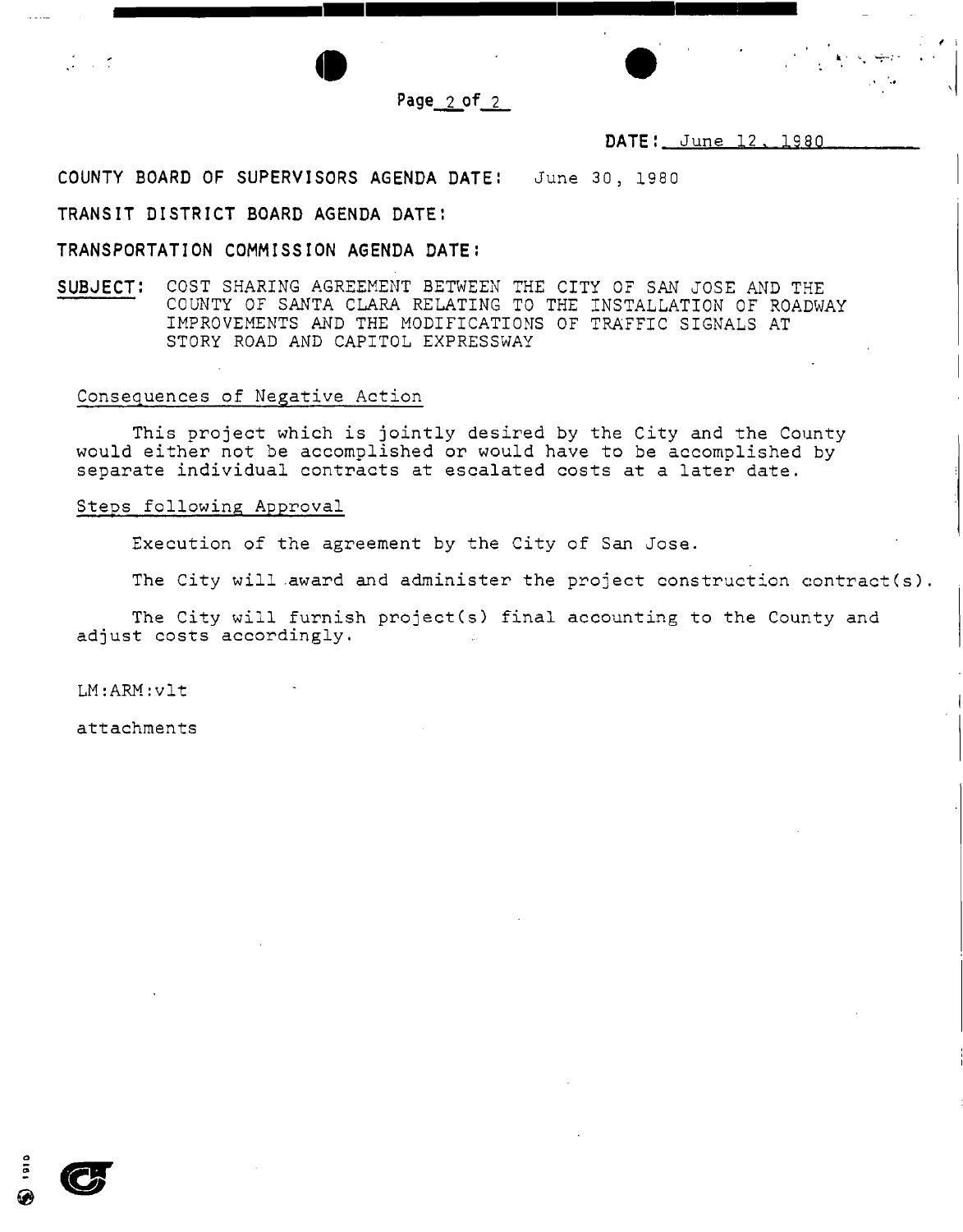

## DATE: June 12, 1980

COUNTY BOARD OF SUPERVISORS AGENDA DATE: June 30, 1980

### TRANSIT DISTRICT BOARD AGENDA DATE:

### TRANSPORTATION COMMISSION AGENDA DATE:

SUBJECT: COST SHARING AGREEMENT BETWEEN THE CITY OF SAN JOSE AND THE COUNTY OF SANTA CLARA RELATING TO THE INSTALLATION OF ROADWAY IMPROVEMENTS AND THE MODIFICATIONS OF TRAFFIC SIGNALS AT STORY ROAD AND CAPITOL EXPRESSWAY

#### Consequences of Negative Action

This project which is jointly desired by the City and the County would either not be accomplished or would have to be accomplished by separate individual contracts at escalated costs at a later date.

#### Steps following Approval

Execution of the agreement by the City of San Jose.

The City will award and administer the project construction contract(s).

The City will furnish project(s) final accounting to the County and adjust costs accordingly.

LM:ARM:vlt

- 17

attachments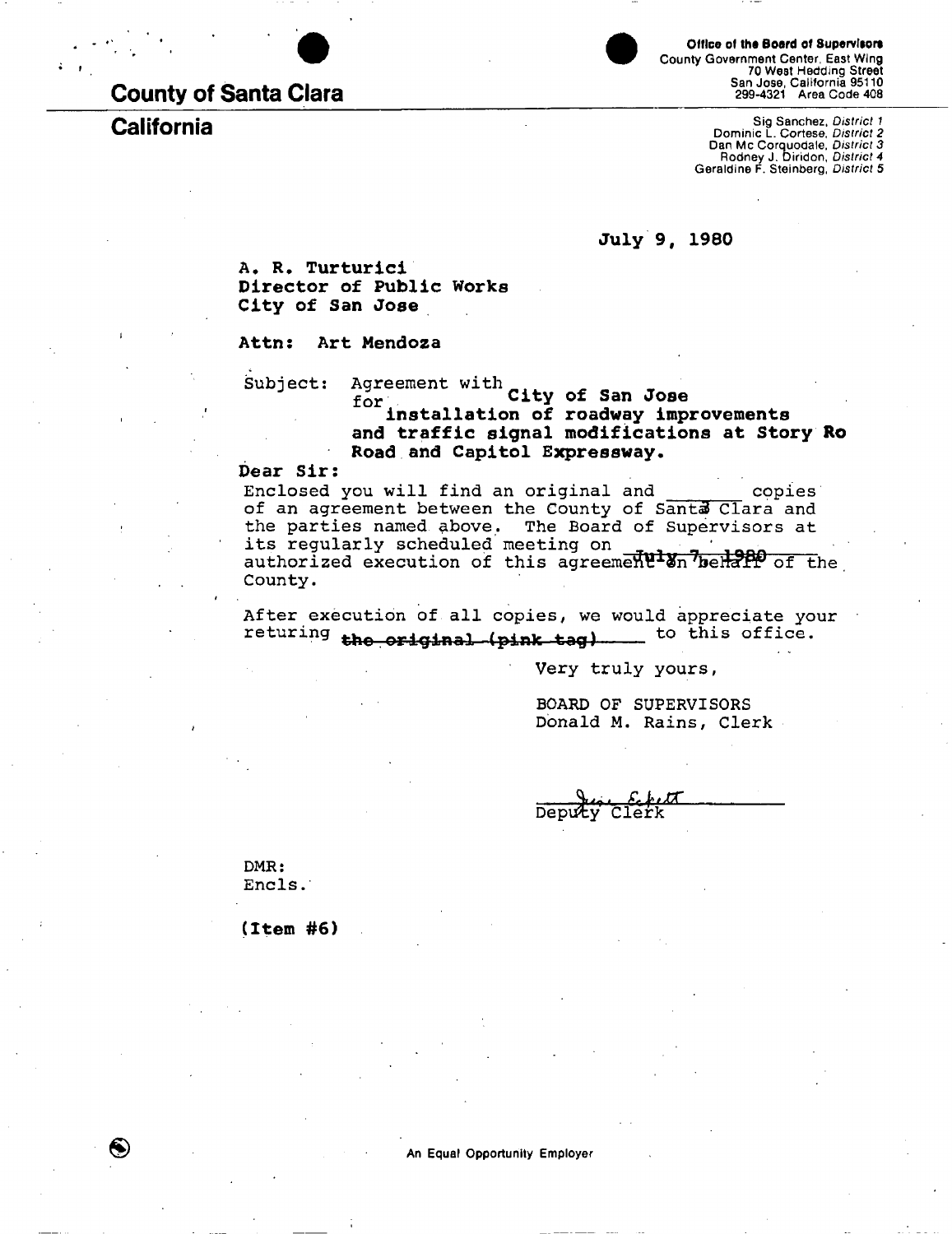## County of Santa Clara

# **California**

Office of the Board of Supervisors County Government Center, East Wing 70 West Hedding Street San Jose, California 95110 299-4321 Area Code 408

Sig Sanchez, *District 1*  Dominic L. Cortese, *District 2*  Dan Mc Corquodale, *District 3*  Rodney J. Diridon, *District 4*  Geraldine F. Steinberg, *District 5* 

**July 9, 1980** 

**A, R. Turturici Director of Public Works City of San Jose** 

**Attn: Art Mendoza** 

Subject: Agreement with **City of San Jose for installation of roadway improvements and traffic signal modifications at Story** Ro **Road and Capitol Expressway.** 

#### **Dear Sir:**

Enclosed you will find an original and copies of an agreement between the County of Santa Clara and the parties named above. The Board of Supervisors at its regularly scheduled meeting on authorized execution of this agreement on belieft of the County.

**After execution of all copies, we would appreciate your**  returing the original (pink tag) to this office.

Very truly yours,

BOARD OF SUPERVISORS Donald M. Rains, Clerk

Deputy Clerk

DMR: Encls.

 $\bigcirc$ 

**(Item #6)**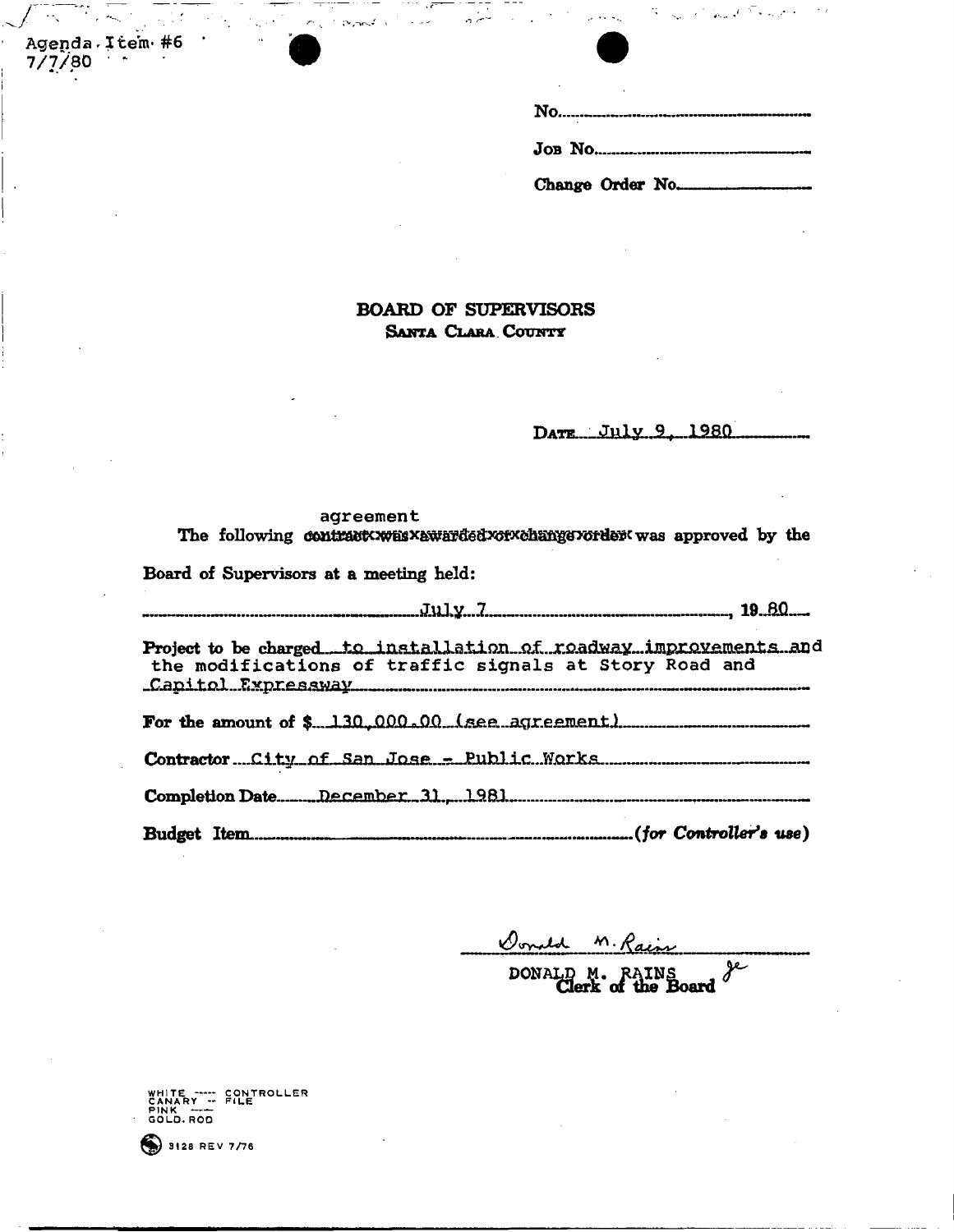Change Order No.

## **BOARD OF SUPERVISORS SANTA CLARA COUNTY**

DATE July 9, 1980

#### agreement The following contract was xawarded xorxchange vorder was approved by the

Board of Supervisors at a meeting held:

 $\sigma_{\rm in} \simeq \rho_{\rm 0} \rho_{\rm 0}$  .

July...I 19 JJQ-- Project to be charged to installation of roadway improvements and the modifications of traffic signals at Story Road and Canitol Expressway For the amount of  $-.130,000.00$ . (see agreement) Contractor ....Ci-tv.-rif , ff an... Completion Date. J>j££LBmhar.\_31.r....lR BJ.

Budget Item (*for Controller's use)* 

Donald M. Rain

DONALD M. RAINS 80ard

CANARY --<br>PINK -----<br>GOLD.ROD CONTROLLER<br>FILE

 $$ 3128$  REV 7/76

Agenda Item #6

7/7/80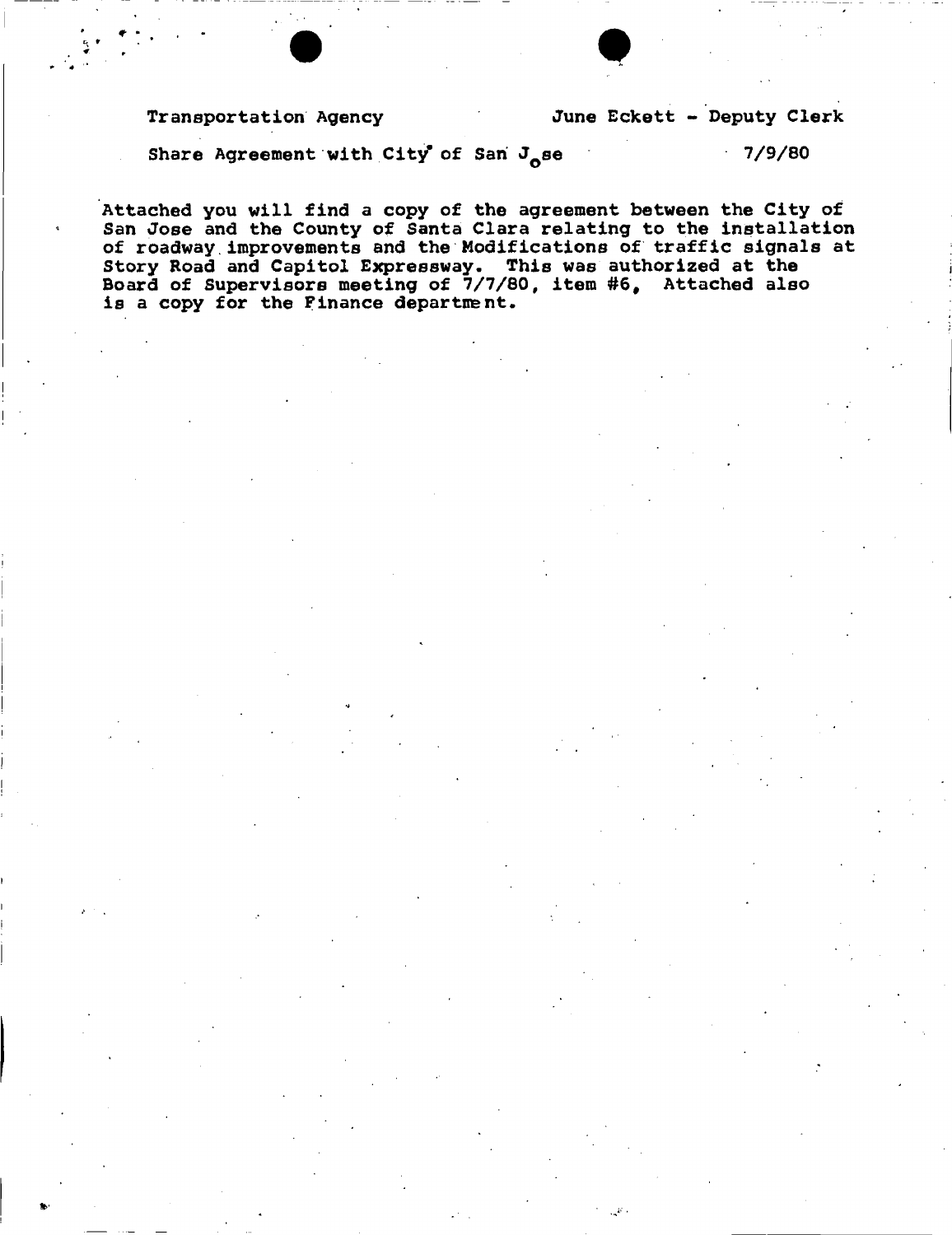Share Agreement with City of San J<sub>ose</sub> 7/9/80

**Attached you will find a copy of the agreement between the City of San Jose and the County of Santa Clara relating to the installation of roadway improvements and the Modifications of traffic signals at Story Road and Capitol Expressway. This was authorized at the Board of Supervisors meeting of 7/7/80, item #6# Attached also is a copy for the Finance department.** 

 $\bullet$   $\bullet$